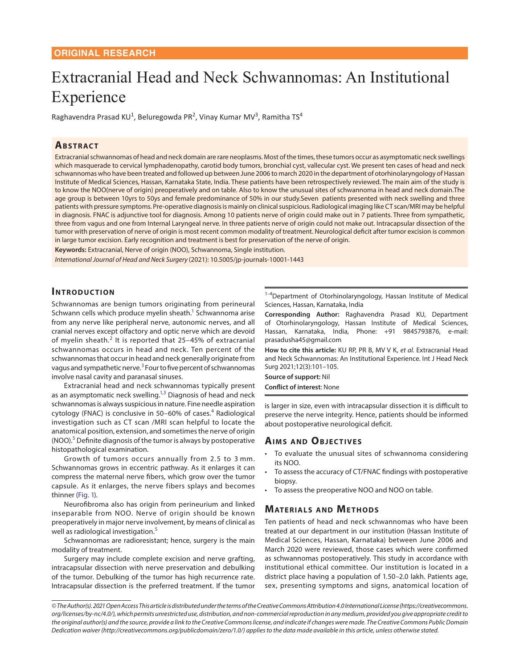# Extracranial Head and Neck Schwannomas: An Institutional Experience

Raghavendra Prasad KU<sup>1</sup>, Beluregowda PR<sup>2</sup>, Vinay Kumar MV<sup>3</sup>, Ramitha TS<sup>4</sup>

#### **ABSTRACT**

Extracranial schwannomas of head and neck domain are rare neoplasms. Most of the times, these tumors occur as asymptomatic neck swellings which masquerade to cervical lymphadenopathy, carotid body tumors, bronchial cyst, vallecular cyst. We present ten cases of head and neck schwannomas who have been treated and followed up between June 2006 to march 2020 in the department of otorhinolaryngology of Hassan Institute of Medical Sciences, Hassan, Karnataka State, India. These patients have been retrospectively reviewed. The main aim of the study is to know the NOO(nerve of origin) preoperatively and on table. Also to know the unusual sites of schwannoma in head and neck domain.The age group is between 10yrs to 50ys and female predominance of 50% in our study.Seven patients presented with neck swelling and three patients with pressure symptoms. Pre-operative diagnosis is mainly on clinical suspicious. Radiological imaging like CT scan/MRI may be helpful in diagnosis. FNAC is adjunctive tool for diagnosis. Among 10 patients nerve of origin could make out in 7 patients. Three from sympathetic, three from vagus and one from Internal Laryngeal nerve. In three patients nerve of origin could not make out. Intracapsular dissection of the tumor with preservation of nerve of origin is most recent common modality of treatment. Neurological deficit after tumor excision is common in large tumor excision. Early recognition and treatment is best for preservation of the nerve of origin.

**Keywords:** Extracranial, Nerve of origin (NOO), Schwannoma, Single institution.

*International Journal of Head and Neck Surgery* (2021): 10.5005/jp-journals-10001-1443

## **INTRODUCTION**

Schwannomas are benign tumors originating from perineural Schwann cells which produce myelin sheath.<sup>1</sup> Schwannoma arise from any nerve like peripheral nerve, autonomic nerves, and all cranial nerves except olfactory and optic nerve which are devoid of myelin sheath.<sup>[2](#page-4-1)</sup> It is reported that 25-45% of extracranial schwannomas occurs in head and neck. Ten percent of the schwannomas that occur in head and neck generally originate from vagus and sympathetic nerve.<sup>[3](#page-4-2)</sup> Four to five percent of schwannomas involve nasal cavity and paranasal sinuses.

Extracranial head and neck schwannomas typically present as an asymptomatic neck swelling.<sup>1,[3](#page-4-2)</sup> Diagnosis of head and neck schwannomas is always suspicious in nature. Fine needle aspiration cytology (FNAC) is conclusive in 50–60% of cases.<sup>[4](#page-4-3)</sup> Radiological investigation such as CT scan /MRI scan helpful to locate the anatomical position, extension, and sometimes the nerve of origin (NOO).<sup>[5](#page-4-4)</sup> Definite diagnosis of the tumor is always by postoperative histopathological examination.

<span id="page-0-5"></span>Growth of tumors occurs annually from 2.5 to 3 mm. Schwannomas grows in eccentric pathway. As it enlarges it can compress the maternal nerve fibers, which grow over the tumor capsule. As it enlarges, the nerve fibers splays and becomes thinner ([Fig. 1\)](#page-1-0).

<span id="page-0-0"></span>Neurofibroma also has origin from perineurium and linked inseparable from NOO. Nerve of origin should be known preoperatively in major nerve involvement, by means of clinical as well as radiological investigation.<sup>[5](#page-4-4)</sup>

Schwannomas are radioresistant; hence, surgery is the main modality of treatment.

Surgery may include complete excision and nerve grafting, intracapsular dissection with nerve preservation and debulking of the tumor. Debulking of the tumor has high recurrence rate. Intracapsular dissection is the preferred treatment. If the tumor

 $1-4$ Department of Otorhinolaryngology, Hassan Institute of Medical Sciences, Hassan, Karnataka, India

<span id="page-0-1"></span>**Corresponding Author:** Raghavendra Prasad KU, Department of Otorhinolaryngology, Hassan Institute of Medical Sciences, Hassan, Karnataka, India, Phone: +91 9845793876, e-mail: prasadusha45@gmail.com

<span id="page-0-2"></span>**How to cite this article:** KU RP, PR B, MV V K, *et al.* Extracranial Head and Neck Schwannomas: An Institutional Experience. Int J Head Neck Surg 2021;12(3):101–105.

<span id="page-0-3"></span>**Source of support:** Nil **Conflict of interest**: None

<span id="page-0-4"></span>is larger in size, even with intracapsular dissection it is difficult to preserve the nerve integrity. Hence, patients should be informed about postoperative neurological deficit.

#### **AIMS AND OBJECTIVES**

- To evaluate the unusual sites of schwannoma considering its NOO.
- To assess the accuracy of CT/FNAC findings with postoperative biopsy.
- To assess the preoperative NOO and NOO on table.

### **MATERIALS AND METHODS**

Ten patients of head and neck schwannomas who have been treated at our department in our institution (Hassan Institute of Medical Sciences, Hassan, Karnataka) between June 2006 and March 2020 were reviewed, those cases which were confirmed as schwannomas postoperatively. This study in accordance with institutional ethical committee. Our institution is located in a district place having a population of 1.50–2.0 lakh. Patients age, sex, presenting symptoms and signs, anatomical location of

*<sup>©</sup> The Author(s). 2021 Open Access This article is distributed under the terms of the Creative Commons Attribution 4.0 International License (https://creativecommons. org/licenses/by-nc/4.0/), which permits unrestricted use, distribution, and non-commercial reproduction in any medium, provided you give appropriate credit to the original author(s) and the source, provide a link to the Creative Commons license, and indicate if changes were made. The Creative Commons Public Domain Dedication waiver (http://creativecommons.org/publicdomain/zero/1.0/) applies to the data made available in this article, unless otherwise stated.*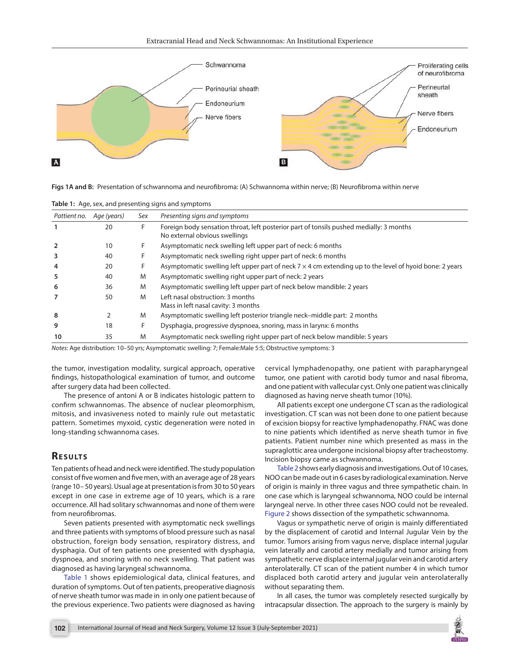

<span id="page-1-0"></span>**[Figs 1A and B:](#page-0-0)** Presentation of schwannoma and neurofibroma: (A) Schwannoma within nerve; (B) Neurofibroma within nerve

| Pattient no.   | Age (years) | Sex | Presenting signs and symptoms                                                                                            |
|----------------|-------------|-----|--------------------------------------------------------------------------------------------------------------------------|
|                | 20          | F   | Foreign body sensation throat, left posterior part of tonsils pushed medially: 3 months<br>No external obvious swellings |
| $\overline{2}$ | 10          |     | Asymptomatic neck swelling left upper part of neck: 6 months                                                             |
| 3              | 40          |     | Asymptomatic neck swelling right upper part of neck: 6 months                                                            |
| 4              | 20          | F.  | Asymptomatic swelling left upper part of neck $7 \times 4$ cm extending up to the level of hyoid bone: 2 years           |
| 5              | 40          | M   | Asymptomatic swelling right upper part of neck: 2 years                                                                  |
| 6              | 36          | M   | Asymptomatic swelling left upper part of neck below mandible: 2 years                                                    |
|                | 50          | M   | Left nasal obstruction: 3 months<br>Mass in left nasal cavity: 3 months                                                  |
| 8              |             | M   | Asymptomatic swelling left posterior triangle neck–middle part: 2 months                                                 |
| 9              | 18          | F.  | Dysphagia, progressive dyspnoea, snoring, mass in larynx: 6 months                                                       |
| 10             | 35          | M   | Asymptomatic neck swelling right upper part of neck below mandible: 5 years                                              |

<span id="page-1-1"></span>**[Table 1:](#page-1-2)** Age, sex, and presenting signs and symptoms

*Notes*: Age distribution: 10–50 yrs; Asymptomatic swelling: 7; Female:Male 5:5; Obstructive symptoms: 3

the tumor, investigation modality, surgical approach, operative findings, histopathological examination of tumor, and outcome after surgery data had been collected.

The presence of antoni A or B indicates histologic pattern to confirm schwannomas. The absence of nuclear pleomorphism, mitosis, and invasiveness noted to mainly rule out metastatic pattern. Sometimes myxoid, cystic degeneration were noted in long-standing schwannoma cases.

#### **RESULTS**

Ten patients of head and neck were identified. The study population consist of five women and five men, with an average age of 28 years (range 10– 50 years). Usual age at presentation is from 30 to 50 years except in one case in extreme age of 10 years, which is a rare occurrence. All had solitary schwannomas and none of them were from neurofibromas.

Seven patients presented with asymptomatic neck swellings and three patients with symptoms of blood pressure such as nasal obstruction, foreign body sensation, respiratory distress, and dysphagia. Out of ten patients one presented with dysphagia, dyspnoea, and snoring with no neck swelling. That patient was diagnosed as having laryngeal schwannoma.

<span id="page-1-2"></span>[Table 1](#page-1-1) shows epidemiological data, clinical features, and duration of symptoms. Out of ten patients, preoperative diagnosis of nerve sheath tumor was made in in only one patient because of the previous experience. Two patients were diagnosed as having cervical lymphadenopathy, one patient with parapharyngeal tumor, one patient with carotid body tumor and nasal fibroma, and one patient with vallecular cyst. Only one patient was clinically diagnosed as having nerve sheath tumor (10%).

All patients except one undergone CT scan as the radiological investigation. CT scan was not been done to one patient because of excision biopsy for reactive lymphadenopathy. FNAC was done to nine patients which identified as nerve sheath tumor in five patients. Patient number nine which presented as mass in the supraglottic area undergone incisional biopsy after tracheostomy. Incision biopsy came as schwannoma.

<span id="page-1-3"></span>[Table 2](#page-2-0) shows early diagnosis and investigations. Out of 10 cases, NOO can be made out in 6 cases by radiological examination. Nerve of origin is mainly in three vagus and three sympathetic chain. In one case which is laryngeal schwannoma, NOO could be internal laryngeal nerve. In other three cases NOO could not be revealed. [Figure 2](#page-3-0) shows dissection of the sympathetic schwannoma.

<span id="page-1-4"></span>Vagus or sympathetic nerve of origin is mainly differentiated by the displacement of carotid and Internal Jugular Vein by the tumor. Tumors arising from vagus nerve, displace internal jugular vein laterally and carotid artery medially and tumor arising from sympathetic nerve displace internal jugular vein and carotid artery anterolaterally. CT scan of the patient number 4 in which tumor displaced both carotid artery and jugular vein anterolaterally without separating them.

In all cases, the tumor was completely resected surgically by intracapsular dissection. The approach to the surgery is mainly by

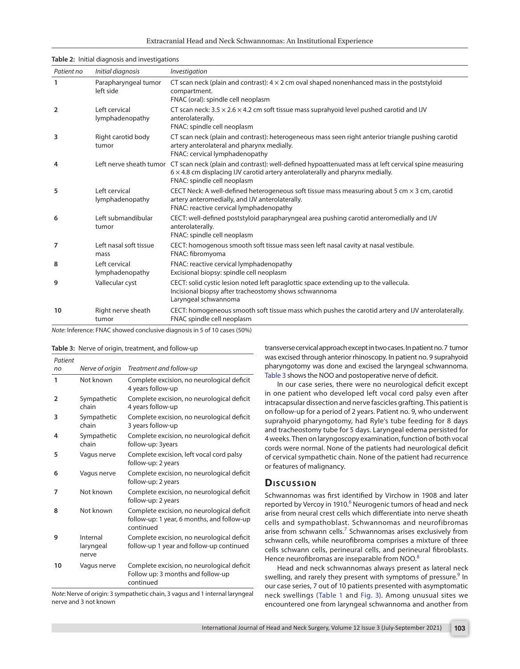| Patient no     | Initial diagnosis                 | Investigation                                                                                                                                                                                                                                        |
|----------------|-----------------------------------|------------------------------------------------------------------------------------------------------------------------------------------------------------------------------------------------------------------------------------------------------|
| 1              | Parapharyngeal tumor<br>left side | CT scan neck (plain and contrast): $4 \times 2$ cm oval shaped nonenhanced mass in the poststyloid<br>compartment.<br>FNAC (oral): spindle cell neoplasm                                                                                             |
| $\overline{2}$ | Left cervical<br>lymphadenopathy  | CT scan neck: $3.5 \times 2.6 \times 4.2$ cm soft tissue mass suprahyoid level pushed carotid and IJV<br>anterolaterally.<br>FNAC: spindle cell neoplasm                                                                                             |
| 3              | Right carotid body<br>tumor       | CT scan neck (plain and contrast): heterogeneous mass seen right anterior triangle pushing carotid<br>artery anterolateral and pharynx medially.<br>FNAC: cervical lymphadenopathy                                                                   |
| 4              |                                   | Left nerve sheath tumor CT scan neck (plain and contrast): well-defined hypoattenuated mass at left cervical spine measuring<br>$6 \times 4.8$ cm displacing IJV carotid artery anterolaterally and pharynx medially.<br>FNAC: spindle cell neoplasm |
| 5              | Left cervical<br>lymphadenopathy  | CECT Neck: A well-defined heterogeneous soft tissue mass measuring about 5 cm $\times$ 3 cm, carotid<br>artery anteromedially, and IJV anterolaterally.<br>FNAC: reactive cervical lymphadenopathy                                                   |
| 6              | Left submandibular<br>tumor       | CECT: well-defined poststyloid parapharyngeal area pushing carotid anteromedially and IJV<br>anterolaterally.<br>FNAC: spindle cell neoplasm                                                                                                         |
| 7              | Left nasal soft tissue<br>mass    | CECT: homogenous smooth soft tissue mass seen left nasal cavity at nasal vestibule.<br>FNAC: fibromyoma                                                                                                                                              |
| 8              | Left cervical<br>lymphadenopathy  | FNAC: reactive cervical lymphadenopathy<br>Excisional biopsy: spindle cell neoplasm                                                                                                                                                                  |
| 9              | Vallecular cyst                   | CECT: solid cystic lesion noted left paraglottic space extending up to the vallecula.<br>Incisional biopsy after tracheostomy shows schwannoma<br>Laryngeal schwannoma                                                                               |
| 10             | Right nerve sheath<br>tumor       | CECT: homogeneous smooth soft tissue mass which pushes the carotid artery and IJV anterolaterally.<br>FNAC spindle cell neoplasm                                                                                                                     |

#### <span id="page-2-0"></span>**[Table 2:](#page-1-3)** Initial diagnosis and investigations

*Note*: Inference: FNAC showed conclusive diagnosis in 5 of 10 cases (50%)

|  |  |  |  | <b>Table 3:</b> Nerve of origin, treatment, and follow-up |  |  |  |  |
|--|--|--|--|-----------------------------------------------------------|--|--|--|--|
|--|--|--|--|-----------------------------------------------------------|--|--|--|--|

| Patient |                                |                                                                                                       |
|---------|--------------------------------|-------------------------------------------------------------------------------------------------------|
| no      | Nerve of origin                | Treatment and follow-up                                                                               |
| 1       | Not known                      | Complete excision, no neurological deficit<br>4 years follow-up                                       |
| 2       | Sympathetic<br>chain           | Complete excision, no neurological deficit<br>4 years follow-up                                       |
| 3       | Sympathetic<br>chain           | Complete excision, no neurological deficit<br>3 years follow-up                                       |
| 4       | Sympathetic<br>chain           | Complete excision, no neurological deficit<br>follow-up: 3years                                       |
| 5       | Vagus nerve                    | Complete excision, left vocal cord palsy<br>follow-up: 2 years                                        |
| 6       | Vagus nerve                    | Complete excision, no neurological deficit<br>follow-up: 2 years                                      |
| 7       | Not known                      | Complete excision, no neurological deficit<br>follow-up: 2 years                                      |
| 8       | Not known                      | Complete excision, no neurological deficit<br>follow-up: 1 year, 6 months, and follow-up<br>continued |
| 9       | Internal<br>laryngeal<br>nerve | Complete excision, no neurological deficit<br>follow-up 1 year and follow-up continued                |
| 10      | Vagus nerve                    | Complete excision, no neurological deficit<br>Follow up: 3 months and follow-up<br>continued          |

*Note*: Nerve of origin: 3 sympathetic chain, 3 vagus and 1 internal laryngeal nerve and 3 not known

transverse cervical approach except in two cases. In patient no. 7 tumor was excised through anterior rhinoscopy. In patient no. 9 suprahyoid pharyngotomy was done and excised the laryngeal schwannoma. Table 3 shows the NOO and postoperative nerve of deficit.

In our case series, there were no neurological deficit except in one patient who developed left vocal cord palsy even after intracapsular dissection and nerve fascicles grafting. This patient is on follow-up for a period of 2 years. Patient no. 9, who underwent suprahyoid pharyngotomy, had Ryle's tube feeding for 8 days and tracheostomy tube for 5 days. Laryngeal edema persisted for 4 weeks. Then on laryngoscopy examination, function of both vocal cords were normal. None of the patients had neurological deficit of cervical sympathetic chain. None of the patient had recurrence or features of malignancy.

#### **Discussion**

<span id="page-2-3"></span><span id="page-2-2"></span>Schwannomas was first identified by Virchow in 1908 and later reported by Vercoy in 1910.<sup>[6](#page-4-5)</sup> Neurogenic tumors of head and neck arise from neural crest cells which differentiate into nerve sheath cells and sympathoblast. Schwannomas and neurofibromas arise from schwann cells. $^7$  $^7$  Schwannomas arises exclusively from schwann cells, while neurofibroma comprises a mixture of three cells schwann cells, perineural cells, and perineural fibroblasts. Hence neurofibromas are inseparable from NOO.<sup>[8](#page-4-7)</sup>

<span id="page-2-5"></span><span id="page-2-4"></span><span id="page-2-1"></span>Head and neck schwannomas always present as lateral neck swelling, and rarely they present with symptoms of pressure.<sup>[9](#page-4-8)</sup> In our case series, 7 out of 10 patients presented with asymptomatic neck swellings ([Table 1](#page-1-1) and [Fig. 3\)](#page-3-1). Among unusual sites we encountered one from laryngeal schwannoma and another from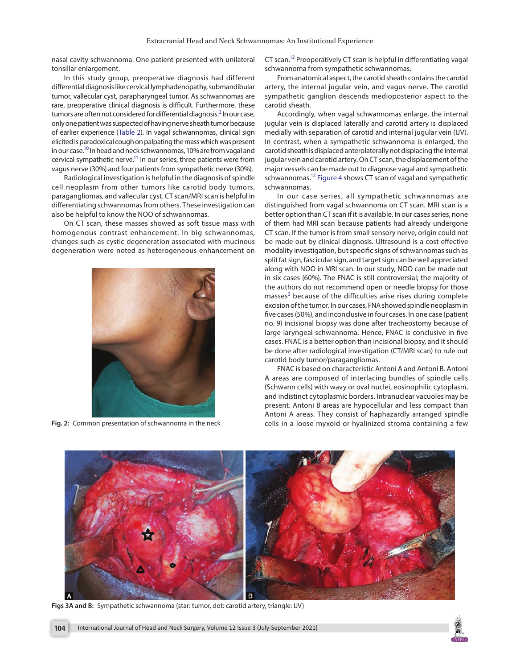nasal cavity schwannoma. One patient presented with unilateral tonsillar enlargement.

In this study group, preoperative diagnosis had different differential diagnosis like cervical lymphadenopathy, submandibular tumor, vallecular cyst, parapharyngeal tumor. As schwannomas are rare, preoperative clinical diagnosis is difficult. Furthermore, these tumors are often not considered for differential diagnosis.<sup>[3](#page-4-2)</sup> In our case, only one patient was suspected of having nerve sheath tumor because of earlier experience ([Table 2](#page-2-0)). In vagal schwannomas, clinical sign elicited is paradoxical cough on palpating the mass which was present in our case.<sup>10</sup> In head and neck schwannomas, 10% are from vagal and cervical sympathetic nerve. $^{11}$  In our series, three patients were from vagus nerve (30%) and four patients from sympathetic nerve (30%).

<span id="page-3-2"></span>Radiological investigation is helpful in the diagnosis of spindle cell neoplasm from other tumors like carotid body tumors, paragangliomas, and vallecular cyst. CT scan/MRI scan is helpful in differentiating schwannomas from others. These investigation can also be helpful to know the NOO of schwannomas.

On CT scan, these masses showed as soft tissue mass with homogenous contrast enhancement. In big schwannomas, changes such as cystic degeneration associated with mucinous degeneration were noted as heterogeneous enhancement on



**[Fig. 2:](#page-1-4)** Common presentation of schwannoma in the neck

<span id="page-3-4"></span>CT scan[.12](#page-4-9) Preoperatively CT scan is helpful in differentiating vagal schwannoma from sympathetic schwannomas.

From anatomical aspect, the carotid sheath contains the carotid artery, the internal jugular vein, and vagus nerve. The carotid sympathetic ganglion descends medioposterior aspect to the carotid sheath.

Accordingly, when vagal schwannomas enlarge, the internal jugular vein is displaced laterally and carotid artery is displaced medially with separation of carotid and internal jugular vein (IJV). In contrast, when a sympathetic schwannoma is enlarged, the carotid sheath is displaced anterolaterally not displacing the internal jugular vein and carotid artery. On CT scan, the displacement of the major vessels can be made out to diagnose vagal and sympathetic schwannomas.<sup>12</sup> [Figure 4](#page-4-10) shows CT scan of vagal and sympathetic schwannomas.

<span id="page-3-5"></span><span id="page-3-3"></span>In our case series, all sympathetic schwannomas are distinguished from vagal schwannoma on CT scan. MRI scan is a better option than CT scan if it is available. In our cases series, none of them had MRI scan because patients had already undergone CT scan. If the tumor is from small sensory nerve, origin could not be made out by clinical diagnosis. Ultrasound is a cost-effective modality investigation, but specific signs of schwannomas such as split fat sign, fascicular sign, and target sign can be well appreciated along with NOO in MRI scan. In our study, NOO can be made out in six cases (60%). The FNAC is still controversial; the majority of the authors do not recommend open or needle biopsy for those masses<sup>[3](#page-4-2)</sup> because of the difficulties arise rises during complete excision of the tumor. In our cases, FNA showed spindle neoplasm in five cases (50%), and inconclusive in four cases. In one case (patient no. 9) incisional biopsy was done after tracheostomy because of large laryngeal schwannoma. Hence, FNAC is conclusive in five cases. FNAC is a better option than incisional biopsy, and it should be done after radiological investigation (CT/MRI scan) to rule out carotid body tumor/paragangliomas.

FNAC is based on characteristic Antoni A and Antoni B. Antoni A areas are composed of interlacing bundles of spindle cells (Schwann cells) with wavy or oval nuclei, eosinophilic cytoplasm, and indistinct cytoplasmic borders. Intranuclear vacuoles may be present. Antoni B areas are hypocellular and less compact than Antoni A areas. They consist of haphazardly arranged spindle cells in a loose myxoid or hyalinized stroma containing a few

<span id="page-3-1"></span><span id="page-3-0"></span>

**[Figs 3A and B:](#page-2-1)** Sympathetic schwannoma (star: tumor, dot: carotid artery, triangle: IJV)